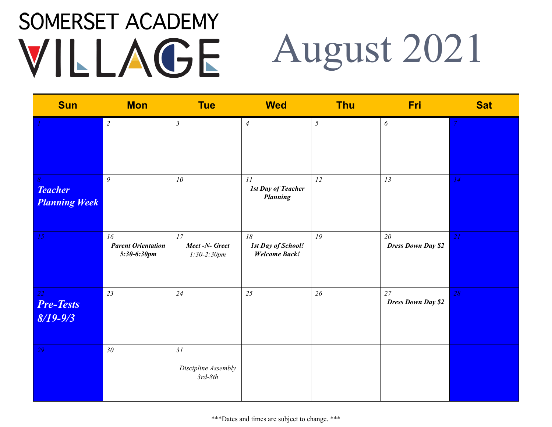### SOMERSET ACADEMY August 2021 VILLAGE

| <b>Sun</b>                                         | <b>Mon</b>                                     | <b>Tue</b>                             | <b>Wed</b>                                              | <b>Thu</b>     | Fri                             | <b>Sat</b> |
|----------------------------------------------------|------------------------------------------------|----------------------------------------|---------------------------------------------------------|----------------|---------------------------------|------------|
|                                                    | $\overline{c}$                                 | $\mathfrak{Z}$                         | $\overline{4}$                                          | $\mathfrak{I}$ | $\boldsymbol{\delta}$           |            |
| $\delta$<br><b>Teacher</b><br><b>Planning Week</b> | $\mathfrak{g}$                                 | ${\it 10}$                             | 11<br><b>1st Day of Teacher</b><br><b>Planning</b>      | 12             | 13                              | 14         |
| 15                                                 | 16<br><b>Parent Orientation</b><br>5:30-6:30pm | 17<br>Meet -N- Greet<br>$1:30-2:30pm$  | 18<br><b>1st Day of School!</b><br><b>Welcome Back!</b> | 19             | 20<br><b>Dress Down Day \$2</b> | 2I         |
| 22<br><b>Pre-Tests</b><br>$8/19 - 9/3$             | 23                                             | 24                                     | 25                                                      | 26             | 27<br><b>Dress Down Day \$2</b> | 28         |
| 29                                                 | $30\,$                                         | 31<br>Discipline Assembly<br>$3rd-8th$ |                                                         |                |                                 |            |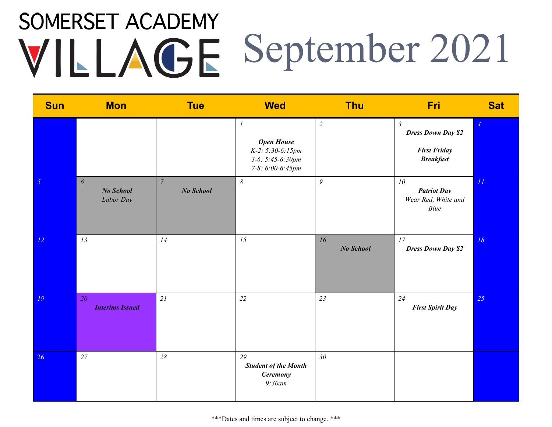## SOMERSET ACADEMY VILLAGE September 2021

| <b>Sun</b>      | <b>Mon</b>                                      | <b>Tue</b>                    | <b>Wed</b>                                                                                  | <b>Thu</b>      | Fri                                                                                    | <b>Sat</b> |
|-----------------|-------------------------------------------------|-------------------------------|---------------------------------------------------------------------------------------------|-----------------|----------------------------------------------------------------------------------------|------------|
|                 |                                                 |                               | $\cal I$<br><b>Open House</b><br>K-2: 5:30-6:15pm<br>$3-6: 5:45-6:30pm$<br>7-8: 6:00-6:45pm | $\overline{2}$  | $\mathfrak{Z}$<br><b>Dress Down Day \$2</b><br><b>First Friday</b><br><b>Breakfast</b> |            |
| $5\overline{)}$ | $\boldsymbol{\delta}$<br>No School<br>Labor Day | $\boldsymbol{7}$<br>No School | $\delta$                                                                                    | 9               | 10<br><b>Patriot Day</b><br>Wear Red, White and<br>Blue                                | II         |
| 12              | 13                                              | 14                            | 15                                                                                          | 16<br>No School | 17<br><b>Dress Down Day \$2</b>                                                        | $18\,$     |
| 19              | 20<br><b>Interims Issued</b>                    | 21                            | 22                                                                                          | 23              | 24<br><b>First Spirit Day</b>                                                          | 25         |
| 26              | 27                                              | 28                            | 29<br><b>Student of the Month</b><br><b>Ceremony</b><br>9:30am                              | 30              |                                                                                        |            |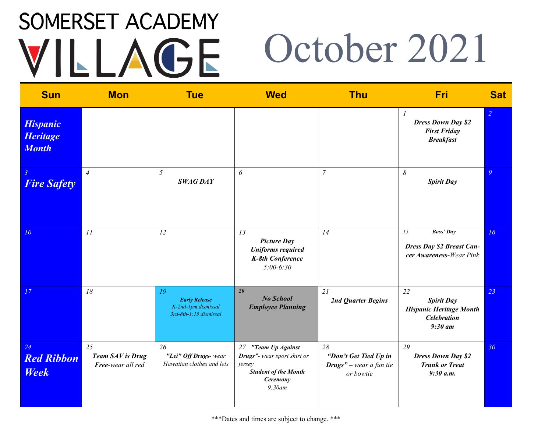### SOMERSET ACADEMY October 2021 VILLAGE

| <b>Sun</b>                                         | <b>Mon</b>                                  | <b>Tue</b>                                                                  | <b>Wed</b>                                                                                                        | <b>Thu</b>                                                                  | Fri                                                                                          | <b>Sat</b> |
|----------------------------------------------------|---------------------------------------------|-----------------------------------------------------------------------------|-------------------------------------------------------------------------------------------------------------------|-----------------------------------------------------------------------------|----------------------------------------------------------------------------------------------|------------|
| <b>Hispanic</b><br><b>Heritage</b><br><b>Month</b> |                                             |                                                                             |                                                                                                                   |                                                                             | $\overline{I}$<br><b>Dress Down Day \$2</b><br><b>First Friday</b><br><b>Breakfast</b>       | 2          |
| $\mathbf{3}$<br><b>Fire Safety</b>                 | $\overline{4}$                              | 5<br><b>SWAG DAY</b>                                                        | 6                                                                                                                 | $\overline{7}$                                                              | $\delta$<br><b>Spirit Day</b>                                                                | 9          |
| 10 <sup>°</sup>                                    | II                                          | 12                                                                          | 13<br><b>Picture Day</b><br><b>Uniforms required</b><br>K-8th Conference<br>$5:00-6:30$                           | 14                                                                          | 15<br><b>Boss' Day</b><br>Dress Day \$2 Breast Can-<br>cer Awareness-Wear Pink               | 16         |
| 17                                                 | 18                                          | 19<br><b>Early Release</b><br>K-2nd-1pm dismissal<br>3rd-8th-1:15 dismissal | 20<br><b>No School</b><br><b>Employee Planning</b>                                                                | 21<br>2nd Quarter Begins                                                    | 22<br><b>Spirit Day</b><br><b>Hispanic Heritage Month</b><br><b>Celebration</b><br>$9:30$ am | 23         |
| 24<br><b>Red Ribbon</b><br><b>Week</b>             | 25<br>Team SAV is Drug<br>Free-wear all red | 26<br>"Lei" Off Drugs- wear<br>Hawaiian clothes and leis                    | 27 "Team Up Against<br>Drugs"- wear sport shirt or<br>jersey<br><b>Student of the Month</b><br>Ceremony<br>9:30am | 28<br>"Don't Get Tied Up in<br><b>Drugs</b> " – wear a fun tie<br>or bowtie | 29<br><b>Dress Down Day \$2</b><br><b>Trunk or Treat</b><br>9:30 a.m.                        | 30         |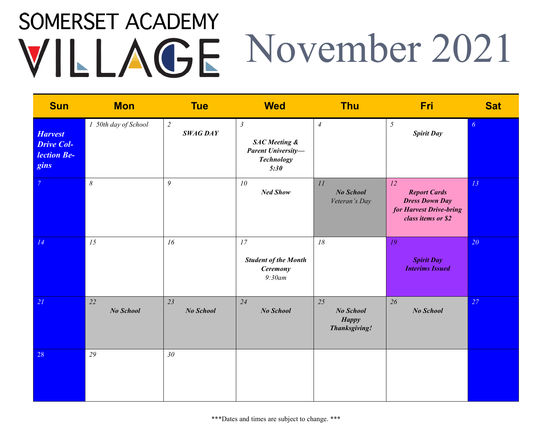### SOMERSET ACADEMY VILLAGE November 2021

| <b>Sun</b>                                                 | <b>Mon</b>           | <b>Tue</b>                        | <b>Wed</b>                                                                                       | <b>Thu</b>                                              | <b>Fri</b>                                                                                          | <b>Sat</b> |
|------------------------------------------------------------|----------------------|-----------------------------------|--------------------------------------------------------------------------------------------------|---------------------------------------------------------|-----------------------------------------------------------------------------------------------------|------------|
| <b>Harvest</b><br><b>Drive Col-</b><br>lection Be-<br>gins | 1 50th day of School | $\overline{c}$<br><b>SWAG DAY</b> | $\mathfrak{Z}$<br><b>SAC</b> Meeting &<br><b>Parent University-</b><br><b>Technology</b><br>5:30 | $\overline{4}$                                          | 5<br><b>Spirit Day</b>                                                                              | 6          |
| $\overline{7}$                                             | $\delta$             | $\mathfrak g$                     | 10<br><b>Ned Show</b>                                                                            | 11<br><b>No School</b><br>Veteran's Day                 | 12<br><b>Report Cards</b><br><b>Dress Down Day</b><br>for Harvest Drive-bring<br>class items or \$2 | 13         |
| 14                                                         | 15                   | 16                                | 17<br><b>Student of the Month</b><br><b>Ceremony</b><br>9:30am                                   | 18                                                      | 19<br><b>Spirit Day</b><br><b>Interims Issued</b>                                                   | 20         |
| 21                                                         | 22<br>No School      | 23<br>No School                   | 24<br>No School                                                                                  | 25<br>No School<br><b>Happy</b><br><b>Thanksgiving!</b> | 26<br>No School                                                                                     | 27         |
| 28                                                         | 29                   | 30 <sub>2</sub>                   |                                                                                                  |                                                         |                                                                                                     |            |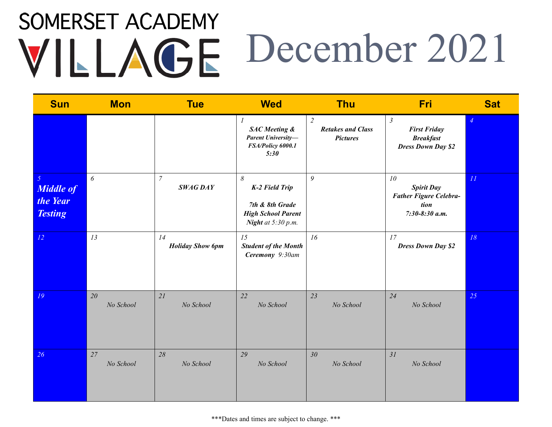## **SOMERSET ACADEMY** December 2021

| <b>Sun</b>                                                       | <b>Mon</b>            | <b>Tue</b>                        | <b>Wed</b>                                                                                                           | <b>Thu</b>                                                    | Fri                                                                                    | <b>Sat</b>     |
|------------------------------------------------------------------|-----------------------|-----------------------------------|----------------------------------------------------------------------------------------------------------------------|---------------------------------------------------------------|----------------------------------------------------------------------------------------|----------------|
|                                                                  |                       |                                   | $\boldsymbol{l}$<br><b>SAC</b> Meeting &<br><b>Parent University-</b><br>FSA/Policy 6000.1<br>5:30                   | $\overline{2}$<br><b>Retakes and Class</b><br><b>Pictures</b> | $\mathfrak{Z}$<br><b>First Friday</b><br><b>Breakfast</b><br><b>Dress Down Day \$2</b> | $\overline{4}$ |
| $\mathfrak{H}$<br><b>Middle of</b><br>the Year<br><b>Testing</b> | $\boldsymbol{\delta}$ | $\overline{7}$<br><b>SWAG DAY</b> | $\boldsymbol{\mathcal{S}}$<br>K-2 Field Trip<br>7th & 8th Grade<br><b>High School Parent</b><br>Night at $5:30$ p.m. | 9                                                             | 10<br><b>Spirit Day</b><br><b>Father Figure Celebra-</b><br>tion<br>$7:30-8:30$ a.m.   | II             |
| 12                                                               | 13                    | 14<br><b>Holiday Show 6pm</b>     | 15<br><b>Student of the Month</b><br>Ceremony 9:30am                                                                 | 16                                                            | 17<br><b>Dress Down Day \$2</b>                                                        | 18             |
| 19                                                               | 20<br>No School       | 21<br>No School                   | 22<br>No School                                                                                                      | 23<br>No School                                               | 24<br>No School                                                                        | 25             |
| 26                                                               | 27<br>No School       | 28<br>No School                   | 29<br>No School                                                                                                      | 30<br>No School                                               | 31<br>No School                                                                        |                |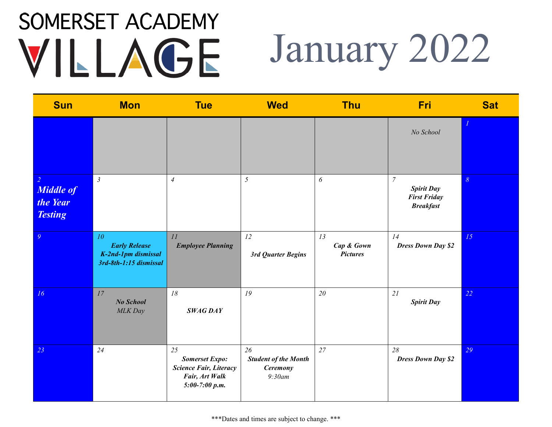#### SOMERSET ACADEMY January 2022 VILLAGE

| <b>Sun</b>                                                       | <b>Mon</b>                                                                  | <b>Tue</b>                                                                                         | <b>Wed</b>                                                     | <b>Thu</b>                          | Fri                                                                              | <b>Sat</b> |
|------------------------------------------------------------------|-----------------------------------------------------------------------------|----------------------------------------------------------------------------------------------------|----------------------------------------------------------------|-------------------------------------|----------------------------------------------------------------------------------|------------|
|                                                                  |                                                                             |                                                                                                    |                                                                |                                     | No School                                                                        |            |
| $\overline{2}$<br><b>Middle of</b><br>the Year<br><b>Testing</b> | $\mathfrak{Z}$                                                              | $\overline{4}$                                                                                     | $\mathfrak{H}$                                                 | $\boldsymbol{\delta}$               | $\boldsymbol{7}$<br><b>Spirit Day</b><br><b>First Friday</b><br><b>Breakfast</b> | $\delta$   |
| $\overline{9}$                                                   | 10<br><b>Early Release</b><br>K-2nd-1pm dismissal<br>3rd-8th-1:15 dismissal | 11<br><b>Employee Planning</b>                                                                     | 12<br>3rd Quarter Begins                                       | 13<br>Cap & Gown<br><b>Pictures</b> | 14<br><b>Dress Down Day \$2</b>                                                  | 15         |
| 16                                                               | 17<br><b>No School</b><br><b>MLK</b> Day                                    | 18<br><b>SWAG DAY</b>                                                                              | 19                                                             | 20                                  | 21<br><b>Spirit Day</b>                                                          | 22         |
| 23                                                               | 24                                                                          | 25<br><b>Somerset Expo:</b><br><b>Science Fair, Literacy</b><br>Fair, Art Walk<br>$5:00-7:00 p.m.$ | 26<br><b>Student of the Month</b><br><b>Ceremony</b><br>9:30am | 27                                  | 28<br><b>Dress Down Day \$2</b>                                                  | 29         |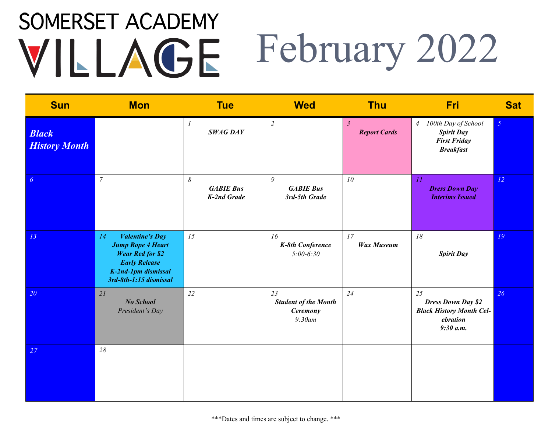#### SOMERSET ACADEMY February 2022 VILLAGE

| <b>Sun</b>                           | <b>Mon</b>                                                                                                                                                   | <b>Tue</b>                                                      | <b>Wed</b>                                                     | <b>Thu</b>                            | <b>Fri</b>                                                                                            | <b>Sat</b>     |
|--------------------------------------|--------------------------------------------------------------------------------------------------------------------------------------------------------------|-----------------------------------------------------------------|----------------------------------------------------------------|---------------------------------------|-------------------------------------------------------------------------------------------------------|----------------|
| <b>Black</b><br><b>History Month</b> |                                                                                                                                                              | 1<br><b>SWAG DAY</b>                                            | $\overline{2}$                                                 | $\mathfrak{Z}$<br><b>Report Cards</b> | 100th Day of School<br>$\overline{4}$<br><b>Spirit Day</b><br><b>First Friday</b><br><b>Breakfast</b> | 5 <sup>5</sup> |
| 6                                    | $\overline{7}$                                                                                                                                               | $\boldsymbol{\delta}$<br><b>GABIE Bus</b><br><b>K-2nd Grade</b> | 9<br><b>GABIE Bus</b><br>3rd-5th Grade                         | 10                                    | II<br><b>Dress Down Day</b><br><b>Interims Issued</b>                                                 | 12             |
| 13                                   | <b>Valentine's Day</b><br>14<br><b>Jump Rope 4 Heart</b><br><b>Wear Red for \$2</b><br><b>Early Release</b><br>K-2nd-1pm dismissal<br>3rd-8th-1:15 dismissal | 15                                                              | 16<br>K-8th Conference<br>$5:00-6:30$                          | 17<br><b>Wax Museum</b>               | 18<br><b>Spirit Day</b>                                                                               | 19             |
| 20                                   | 21<br>No School<br>President's Day                                                                                                                           | 22                                                              | 23<br><b>Student of the Month</b><br><b>Ceremony</b><br>9:30am | 24                                    | 25<br><b>Dress Down Day \$2</b><br><b>Black History Month Cel-</b><br>ebration<br>9:30 a.m.           | 26             |
| 27                                   | 28                                                                                                                                                           |                                                                 |                                                                |                                       |                                                                                                       |                |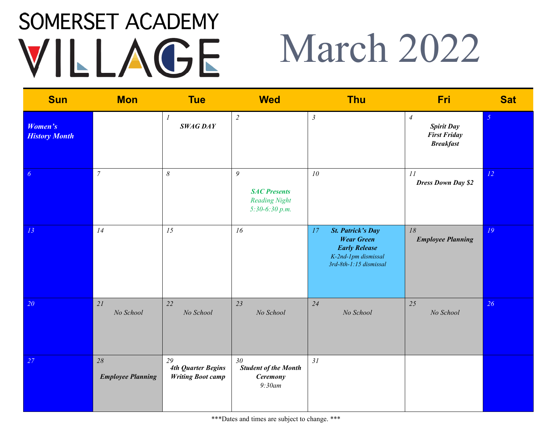## March 2022

| <b>Sun</b>                             | <b>Mon</b>                     | <b>Tue</b>                                                  | <b>Wed</b>                                                                       | <b>Thu</b>                                                                                                                                           | <b>Fri</b>                                                                     | <b>Sat</b>     |
|----------------------------------------|--------------------------------|-------------------------------------------------------------|----------------------------------------------------------------------------------|------------------------------------------------------------------------------------------------------------------------------------------------------|--------------------------------------------------------------------------------|----------------|
| <b>Women's</b><br><b>History Month</b> |                                | $\mathcal{I}$<br><b>SWAG DAY</b>                            | $\overline{2}$                                                                   | $\mathfrak{Z}$                                                                                                                                       | $\overline{4}$<br><b>Spirit Day</b><br><b>First Friday</b><br><b>Breakfast</b> | $\mathfrak{I}$ |
| $\boldsymbol{6}$                       | $\boldsymbol{7}$               | $\boldsymbol{\mathcal{S}}$                                  | $\mathfrak g$<br><b>SAC Presents</b><br><b>Reading Night</b><br>$5:30-6:30 p.m.$ | ${\it 10}$                                                                                                                                           | 11<br><b>Dress Down Day \$2</b>                                                | 12             |
| 13                                     | 14                             | 15                                                          | 16                                                                               | $\ensuremath{\textit{17}}$<br><b>St. Patrick's Day</b><br><b>Wear Green</b><br><b>Early Release</b><br>K-2nd-1pm dismissal<br>3rd-8th-1:15 dismissal | 18<br><b>Employee Planning</b>                                                 | 19             |
| 20 <sup>°</sup>                        | 21<br>No School                | 22<br>No School                                             | 23<br>No School                                                                  | 24<br>No School                                                                                                                                      | 25<br>No School                                                                | 26             |
| 27                                     | 28<br><b>Employee Planning</b> | 29<br><b>4th Quarter Begins</b><br><b>Writing Boot camp</b> | 30 <sup>°</sup><br><b>Student of the Month</b><br><b>Ceremony</b><br>$9:30$ am   | 31                                                                                                                                                   |                                                                                |                |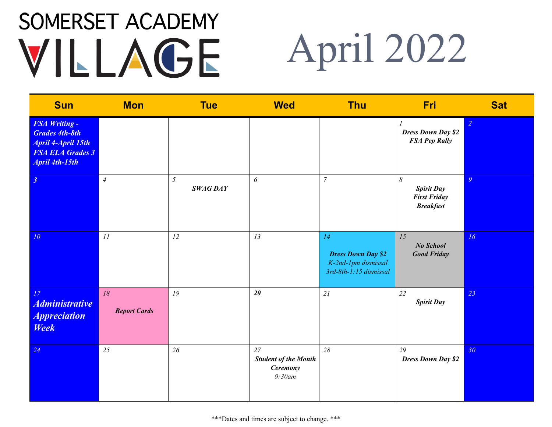# April 2022

| <b>Sun</b>                                                                                                                     | <b>Mon</b>                | <b>Tue</b>           | <b>Wed</b>                                                        | <b>Thu</b>                                                                       | <b>Fri</b>                                                               | <b>Sat</b>     |
|--------------------------------------------------------------------------------------------------------------------------------|---------------------------|----------------------|-------------------------------------------------------------------|----------------------------------------------------------------------------------|--------------------------------------------------------------------------|----------------|
| <b>FSA Writing -</b><br><b>Grades 4th-8th</b><br><b>April 4-April 15th</b><br><b>FSA ELA Grades 3</b><br><b>April 4th-15th</b> |                           |                      |                                                                   |                                                                                  | $\boldsymbol{l}$<br><b>Dress Down Day \$2</b><br><b>FSA Pep Rally</b>    | $\overline{2}$ |
| $\mathfrak{z}$                                                                                                                 | $\overline{4}$            | 5<br><b>SWAG DAY</b> | 6                                                                 | $\overline{7}$                                                                   | $\delta$<br><b>Spirit Day</b><br><b>First Friday</b><br><b>Breakfast</b> | $\overline{Q}$ |
| 10 <sup>°</sup>                                                                                                                | II                        | 12                   | 13                                                                | 14<br><b>Dress Down Day \$2</b><br>K-2nd-1pm dismissal<br>3rd-8th-1:15 dismissal | 15<br>No School<br><b>Good Friday</b>                                    | 16             |
| 17<br><b>Administrative</b><br><i><b>Appreciation</b></i><br><b>Week</b>                                                       | 18<br><b>Report Cards</b> | 19                   | $20\,$                                                            | 21                                                                               | 22<br><b>Spirit Day</b>                                                  | 23             |
| 24                                                                                                                             | 25                        | 26                   | 27<br><b>Student of the Month</b><br><b>Ceremony</b><br>$9:30$ am | 28                                                                               | 29<br><b>Dress Down Day \$2</b>                                          | 30             |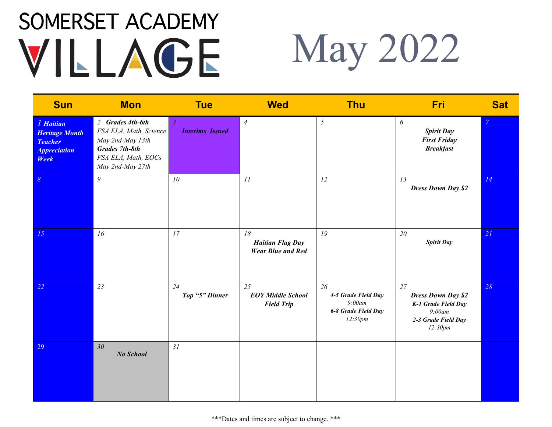## May 2022

| <b>Sun</b>                                                                                        | <b>Mon</b>                                                                                                                         | <b>Tue</b>                               | <b>Wed</b>                                                | <b>Thu</b>                                                            | Fri                                                                                                | <b>Sat</b> |
|---------------------------------------------------------------------------------------------------|------------------------------------------------------------------------------------------------------------------------------------|------------------------------------------|-----------------------------------------------------------|-----------------------------------------------------------------------|----------------------------------------------------------------------------------------------------|------------|
| <i>l</i> Haitian<br><b>Heritage Month</b><br><b>Teacher</b><br><i><b>Appreciation</b></i><br>Week | 2 Grades 4th-6th<br>FSA ELA, Math, Science<br>May 2nd-May 13th<br><b>Grades 7th-8th</b><br>FSA ELA, Math, EOCs<br>May 2nd-May 27th | $\mathfrak{Z}$<br><b>Interims Issued</b> | $\overline{4}$                                            | $\mathfrak{H}$                                                        | 6<br><b>Spirit Day</b><br><b>First Friday</b><br><b>Breakfast</b>                                  |            |
| $\mathcal{S}_{\mathcal{S}}$                                                                       | 9                                                                                                                                  | 10                                       | 11                                                        | 12                                                                    | 13<br><b>Dress Down Day \$2</b>                                                                    | 14         |
| 15                                                                                                | 16                                                                                                                                 | 17                                       | 18<br><b>Haitian Flag Day</b><br><b>Wear Blue and Red</b> | 19                                                                    | 20<br><b>Spirit Day</b>                                                                            | 21         |
| 22                                                                                                | 23                                                                                                                                 | 24<br>Top "5" Dinner                     | 25<br><b>EOY Middle School</b><br><b>Field Trip</b>       | 26<br>4-5 Grade Field Day<br>9:00am<br>6-8 Grade Field Day<br>12:30pm | 27<br><b>Dress Down Day \$2</b><br>K-1 Grade Field Day<br>9:00am<br>2-3 Grade Field Day<br>12:30pm | 28         |
| 29                                                                                                | 30 <sub>2</sub><br><b>No School</b>                                                                                                | 31                                       |                                                           |                                                                       |                                                                                                    |            |